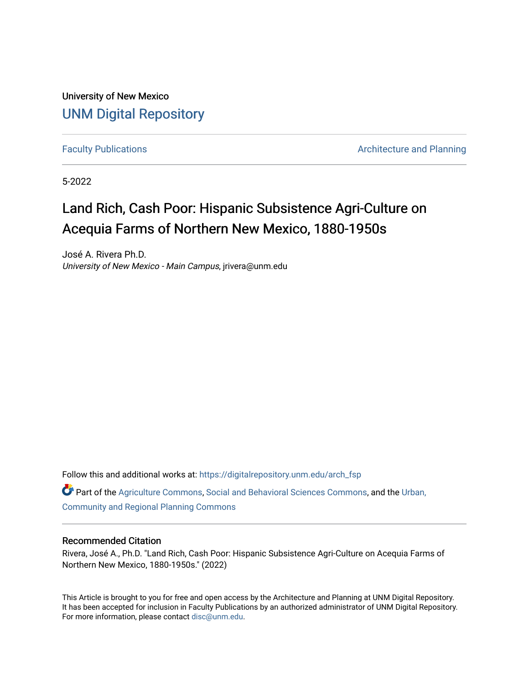University of New Mexico [UNM Digital Repository](https://digitalrepository.unm.edu/) 

[Faculty Publications](https://digitalrepository.unm.edu/arch_fsp) **Architecture and Planning** 

5-2022

# Land Rich, Cash Poor: Hispanic Subsistence Agri-Culture on Acequia Farms of Northern New Mexico, 1880-1950s

José A. Rivera Ph.D. University of New Mexico - Main Campus, jrivera@unm.edu

Follow this and additional works at: [https://digitalrepository.unm.edu/arch\\_fsp](https://digitalrepository.unm.edu/arch_fsp?utm_source=digitalrepository.unm.edu%2Farch_fsp%2F3&utm_medium=PDF&utm_campaign=PDFCoverPages)

Part of the [Agriculture Commons](https://network.bepress.com/hgg/discipline/1076?utm_source=digitalrepository.unm.edu%2Farch_fsp%2F3&utm_medium=PDF&utm_campaign=PDFCoverPages), [Social and Behavioral Sciences Commons](https://network.bepress.com/hgg/discipline/316?utm_source=digitalrepository.unm.edu%2Farch_fsp%2F3&utm_medium=PDF&utm_campaign=PDFCoverPages), and the [Urban,](https://network.bepress.com/hgg/discipline/776?utm_source=digitalrepository.unm.edu%2Farch_fsp%2F3&utm_medium=PDF&utm_campaign=PDFCoverPages)  [Community and Regional Planning Commons](https://network.bepress.com/hgg/discipline/776?utm_source=digitalrepository.unm.edu%2Farch_fsp%2F3&utm_medium=PDF&utm_campaign=PDFCoverPages)

### Recommended Citation

Rivera, José A., Ph.D. "Land Rich, Cash Poor: Hispanic Subsistence Agri-Culture on Acequia Farms of Northern New Mexico, 1880-1950s." (2022)

This Article is brought to you for free and open access by the Architecture and Planning at UNM Digital Repository. It has been accepted for inclusion in Faculty Publications by an authorized administrator of UNM Digital Repository. For more information, please contact [disc@unm.edu](mailto:disc@unm.edu).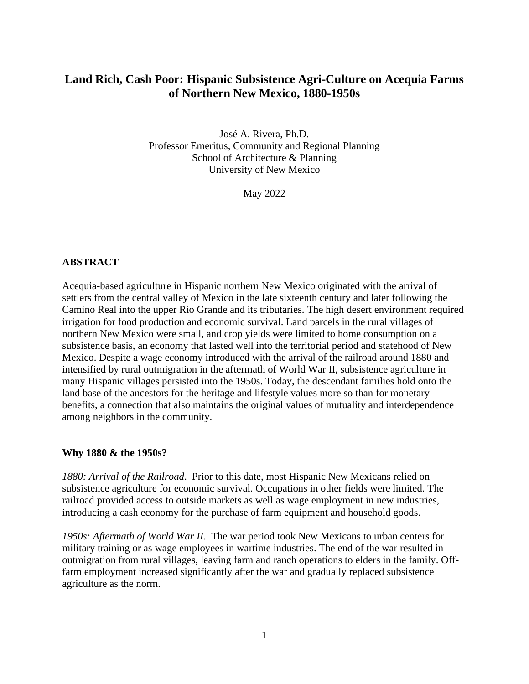## **Land Rich, Cash Poor: Hispanic Subsistence Agri-Culture on Acequia Farms of Northern New Mexico, 1880-1950s**

José A. Rivera, Ph.D. Professor Emeritus, Community and Regional Planning School of Architecture & Planning University of New Mexico

May 2022

## **ABSTRACT**

Acequia-based agriculture in Hispanic northern New Mexico originated with the arrival of settlers from the central valley of Mexico in the late sixteenth century and later following the Camino Real into the upper Río Grande and its tributaries. The high desert environment required irrigation for food production and economic survival. Land parcels in the rural villages of northern New Mexico were small, and crop yields were limited to home consumption on a subsistence basis, an economy that lasted well into the territorial period and statehood of New Mexico. Despite a wage economy introduced with the arrival of the railroad around 1880 and intensified by rural outmigration in the aftermath of World War II, subsistence agriculture in many Hispanic villages persisted into the 1950s. Today, the descendant families hold onto the land base of the ancestors for the heritage and lifestyle values more so than for monetary benefits, a connection that also maintains the original values of mutuality and interdependence among neighbors in the community.

## **Why 1880 & the 1950s?**

*1880: Arrival of the Railroad*. Prior to this date, most Hispanic New Mexicans relied on subsistence agriculture for economic survival. Occupations in other fields were limited. The railroad provided access to outside markets as well as wage employment in new industries, introducing a cash economy for the purchase of farm equipment and household goods.

*1950s: Aftermath of World War II*. The war period took New Mexicans to urban centers for military training or as wage employees in wartime industries. The end of the war resulted in outmigration from rural villages, leaving farm and ranch operations to elders in the family. Offfarm employment increased significantly after the war and gradually replaced subsistence agriculture as the norm.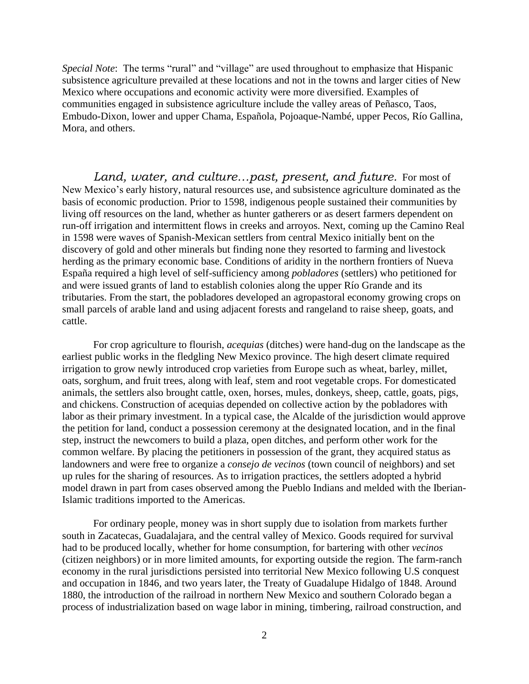*Special Note*: The terms "rural" and "village" are used throughout to emphasize that Hispanic subsistence agriculture prevailed at these locations and not in the towns and larger cities of New Mexico where occupations and economic activity were more diversified. Examples of communities engaged in subsistence agriculture include the valley areas of Peñasco, Taos, Embudo-Dixon, lower and upper Chama, Española, Pojoaque-Nambé, upper Pecos, Río Gallina, Mora, and others.

*Land, water, and culture…past, present, and future.* For most of New Mexico's early history, natural resources use, and subsistence agriculture dominated as the basis of economic production. Prior to 1598, indigenous people sustained their communities by living off resources on the land, whether as hunter gatherers or as desert farmers dependent on run-off irrigation and intermittent flows in creeks and arroyos. Next, coming up the Camino Real in 1598 were waves of Spanish-Mexican settlers from central Mexico initially bent on the discovery of gold and other minerals but finding none they resorted to farming and livestock herding as the primary economic base. Conditions of aridity in the northern frontiers of Nueva España required a high level of self-sufficiency among *pobladores* (settlers) who petitioned for and were issued grants of land to establish colonies along the upper Río Grande and its tributaries. From the start, the pobladores developed an agropastoral economy growing crops on small parcels of arable land and using adjacent forests and rangeland to raise sheep, goats, and cattle.

For crop agriculture to flourish, *acequias* (ditches) were hand-dug on the landscape as the earliest public works in the fledgling New Mexico province. The high desert climate required irrigation to grow newly introduced crop varieties from Europe such as wheat, barley, millet, oats, sorghum, and fruit trees, along with leaf, stem and root vegetable crops. For domesticated animals, the settlers also brought cattle, oxen, horses, mules, donkeys, sheep, cattle, goats, pigs, and chickens. Construction of acequias depended on collective action by the pobladores with labor as their primary investment. In a typical case, the Alcalde of the jurisdiction would approve the petition for land, conduct a possession ceremony at the designated location, and in the final step, instruct the newcomers to build a plaza, open ditches, and perform other work for the common welfare. By placing the petitioners in possession of the grant, they acquired status as landowners and were free to organize a *consejo de vecinos* (town council of neighbors) and set up rules for the sharing of resources. As to irrigation practices, the settlers adopted a hybrid model drawn in part from cases observed among the Pueblo Indians and melded with the Iberian-Islamic traditions imported to the Americas.

For ordinary people, money was in short supply due to isolation from markets further south in Zacatecas, Guadalajara, and the central valley of Mexico. Goods required for survival had to be produced locally, whether for home consumption, for bartering with other *vecinos* (citizen neighbors) or in more limited amounts, for exporting outside the region. The farm-ranch economy in the rural jurisdictions persisted into territorial New Mexico following U.S conquest and occupation in 1846, and two years later, the Treaty of Guadalupe Hidalgo of 1848. Around 1880, the introduction of the railroad in northern New Mexico and southern Colorado began a process of industrialization based on wage labor in mining, timbering, railroad construction, and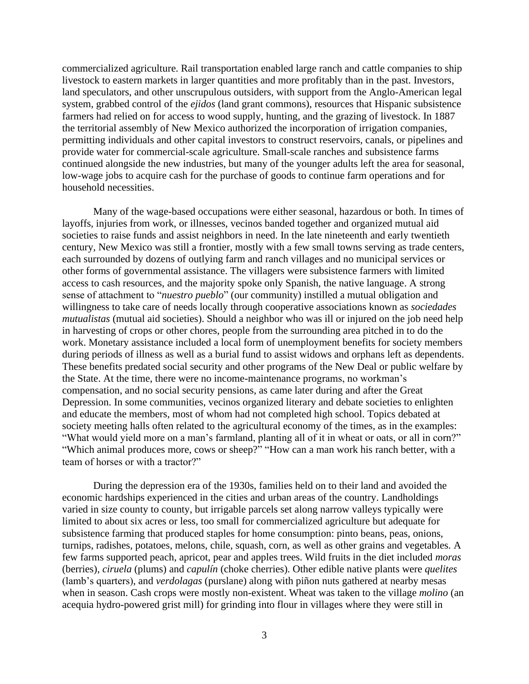commercialized agriculture. Rail transportation enabled large ranch and cattle companies to ship livestock to eastern markets in larger quantities and more profitably than in the past. Investors, land speculators, and other unscrupulous outsiders, with support from the Anglo-American legal system, grabbed control of the *ejidos* (land grant commons), resources that Hispanic subsistence farmers had relied on for access to wood supply, hunting, and the grazing of livestock. In 1887 the territorial assembly of New Mexico authorized the incorporation of irrigation companies, permitting individuals and other capital investors to construct reservoirs, canals, or pipelines and provide water for commercial-scale agriculture. Small-scale ranches and subsistence farms continued alongside the new industries, but many of the younger adults left the area for seasonal, low-wage jobs to acquire cash for the purchase of goods to continue farm operations and for household necessities.

Many of the wage-based occupations were either seasonal, hazardous or both. In times of layoffs, injuries from work, or illnesses, vecinos banded together and organized mutual aid societies to raise funds and assist neighbors in need. In the late nineteenth and early twentieth century, New Mexico was still a frontier, mostly with a few small towns serving as trade centers, each surrounded by dozens of outlying farm and ranch villages and no municipal services or other forms of governmental assistance. The villagers were subsistence farmers with limited access to cash resources, and the majority spoke only Spanish, the native language. A strong sense of attachment to "*nuestro pueblo*" (our community) instilled a mutual obligation and willingness to take care of needs locally through cooperative associations known as *sociedades mutualistas* (mutual aid societies). Should a neighbor who was ill or injured on the job need help in harvesting of crops or other chores, people from the surrounding area pitched in to do the work. Monetary assistance included a local form of unemployment benefits for society members during periods of illness as well as a burial fund to assist widows and orphans left as dependents. These benefits predated social security and other programs of the New Deal or public welfare by the State. At the time, there were no income-maintenance programs, no workman's compensation, and no social security pensions, as came later during and after the Great Depression. In some communities, vecinos organized literary and debate societies to enlighten and educate the members, most of whom had not completed high school. Topics debated at society meeting halls often related to the agricultural economy of the times, as in the examples: "What would yield more on a man's farmland, planting all of it in wheat or oats, or all in corn?" "Which animal produces more, cows or sheep?" "How can a man work his ranch better, with a team of horses or with a tractor?"

During the depression era of the 1930s, families held on to their land and avoided the economic hardships experienced in the cities and urban areas of the country. Landholdings varied in size county to county, but irrigable parcels set along narrow valleys typically were limited to about six acres or less, too small for commercialized agriculture but adequate for subsistence farming that produced staples for home consumption: pinto beans, peas, onions, turnips, radishes, potatoes, melons, chile, squash, corn, as well as other grains and vegetables. A few farms supported peach, apricot, pear and apples trees. Wild fruits in the diet included *moras* (berries), *ciruela* (plums) and *capulín* (choke cherries). Other edible native plants were *quelites* (lamb's quarters), and *verdolagas* (purslane) along with piñon nuts gathered at nearby mesas when in season. Cash crops were mostly non-existent. Wheat was taken to the village *molino* (an acequia hydro-powered grist mill) for grinding into flour in villages where they were still in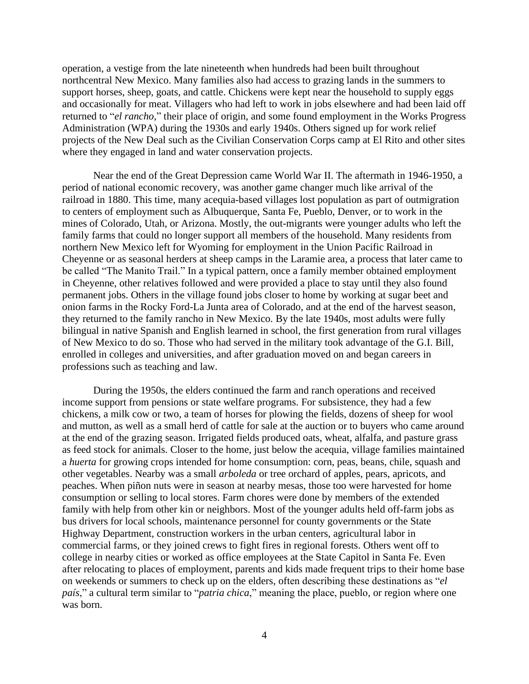operation, a vestige from the late nineteenth when hundreds had been built throughout northcentral New Mexico. Many families also had access to grazing lands in the summers to support horses, sheep, goats, and cattle. Chickens were kept near the household to supply eggs and occasionally for meat. Villagers who had left to work in jobs elsewhere and had been laid off returned to "*el rancho*," their place of origin, and some found employment in the Works Progress Administration (WPA) during the 1930s and early 1940s. Others signed up for work relief projects of the New Deal such as the Civilian Conservation Corps camp at El Rito and other sites where they engaged in land and water conservation projects.

Near the end of the Great Depression came World War II. The aftermath in 1946-1950, a period of national economic recovery, was another game changer much like arrival of the railroad in 1880. This time, many acequia-based villages lost population as part of outmigration to centers of employment such as Albuquerque, Santa Fe, Pueblo, Denver, or to work in the mines of Colorado, Utah, or Arizona. Mostly, the out-migrants were younger adults who left the family farms that could no longer support all members of the household. Many residents from northern New Mexico left for Wyoming for employment in the Union Pacific Railroad in Cheyenne or as seasonal herders at sheep camps in the Laramie area, a process that later came to be called "The Manito Trail." In a typical pattern, once a family member obtained employment in Cheyenne, other relatives followed and were provided a place to stay until they also found permanent jobs. Others in the village found jobs closer to home by working at sugar beet and onion farms in the Rocky Ford-La Junta area of Colorado, and at the end of the harvest season, they returned to the family rancho in New Mexico. By the late 1940s, most adults were fully bilingual in native Spanish and English learned in school, the first generation from rural villages of New Mexico to do so. Those who had served in the military took advantage of the G.I. Bill, enrolled in colleges and universities, and after graduation moved on and began careers in professions such as teaching and law.

During the 1950s, the elders continued the farm and ranch operations and received income support from pensions or state welfare programs. For subsistence, they had a few chickens, a milk cow or two, a team of horses for plowing the fields, dozens of sheep for wool and mutton, as well as a small herd of cattle for sale at the auction or to buyers who came around at the end of the grazing season. Irrigated fields produced oats, wheat, alfalfa, and pasture grass as feed stock for animals. Closer to the home, just below the acequia, village families maintained a *huerta* for growing crops intended for home consumption: corn, peas, beans, chile, squash and other vegetables. Nearby was a small *arboleda* or tree orchard of apples, pears, apricots, and peaches. When piñon nuts were in season at nearby mesas, those too were harvested for home consumption or selling to local stores. Farm chores were done by members of the extended family with help from other kin or neighbors. Most of the younger adults held off-farm jobs as bus drivers for local schools, maintenance personnel for county governments or the State Highway Department, construction workers in the urban centers, agricultural labor in commercial farms, or they joined crews to fight fires in regional forests. Others went off to college in nearby cities or worked as office employees at the State Capitol in Santa Fe. Even after relocating to places of employment, parents and kids made frequent trips to their home base on weekends or summers to check up on the elders, often describing these destinations as "*el país*," a cultural term similar to "*patria chica*," meaning the place, pueblo, or region where one was born.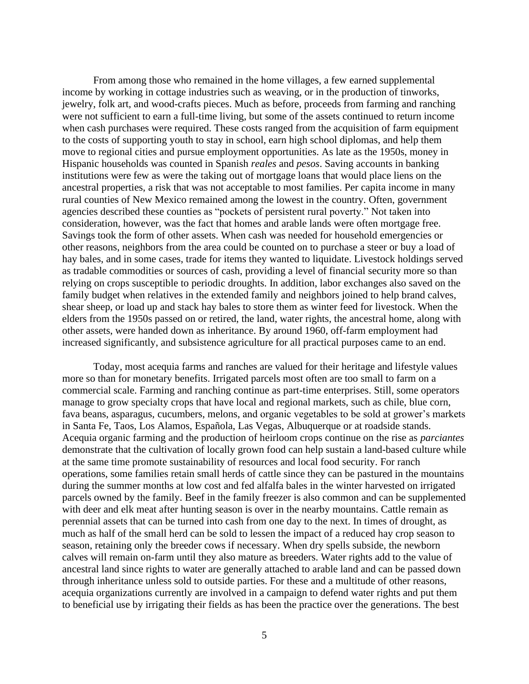From among those who remained in the home villages, a few earned supplemental income by working in cottage industries such as weaving, or in the production of tinworks, jewelry, folk art, and wood-crafts pieces. Much as before, proceeds from farming and ranching were not sufficient to earn a full-time living, but some of the assets continued to return income when cash purchases were required. These costs ranged from the acquisition of farm equipment to the costs of supporting youth to stay in school, earn high school diplomas, and help them move to regional cities and pursue employment opportunities. As late as the 1950s, money in Hispanic households was counted in Spanish *reales* and *pesos*. Saving accounts in banking institutions were few as were the taking out of mortgage loans that would place liens on the ancestral properties, a risk that was not acceptable to most families. Per capita income in many rural counties of New Mexico remained among the lowest in the country. Often, government agencies described these counties as "pockets of persistent rural poverty." Not taken into consideration, however, was the fact that homes and arable lands were often mortgage free. Savings took the form of other assets. When cash was needed for household emergencies or other reasons, neighbors from the area could be counted on to purchase a steer or buy a load of hay bales, and in some cases, trade for items they wanted to liquidate. Livestock holdings served as tradable commodities or sources of cash, providing a level of financial security more so than relying on crops susceptible to periodic droughts. In addition, labor exchanges also saved on the family budget when relatives in the extended family and neighbors joined to help brand calves, shear sheep, or load up and stack hay bales to store them as winter feed for livestock. When the elders from the 1950s passed on or retired, the land, water rights, the ancestral home, along with other assets, were handed down as inheritance. By around 1960, off-farm employment had increased significantly, and subsistence agriculture for all practical purposes came to an end.

Today, most acequia farms and ranches are valued for their heritage and lifestyle values more so than for monetary benefits. Irrigated parcels most often are too small to farm on a commercial scale. Farming and ranching continue as part-time enterprises. Still, some operators manage to grow specialty crops that have local and regional markets, such as chile, blue corn, fava beans, asparagus, cucumbers, melons, and organic vegetables to be sold at grower's markets in Santa Fe, Taos, Los Alamos, Española, Las Vegas, Albuquerque or at roadside stands. Acequia organic farming and the production of heirloom crops continue on the rise as *parciantes* demonstrate that the cultivation of locally grown food can help sustain a land-based culture while at the same time promote sustainability of resources and local food security. For ranch operations, some families retain small herds of cattle since they can be pastured in the mountains during the summer months at low cost and fed alfalfa bales in the winter harvested on irrigated parcels owned by the family. Beef in the family freezer is also common and can be supplemented with deer and elk meat after hunting season is over in the nearby mountains. Cattle remain as perennial assets that can be turned into cash from one day to the next. In times of drought, as much as half of the small herd can be sold to lessen the impact of a reduced hay crop season to season, retaining only the breeder cows if necessary. When dry spells subside, the newborn calves will remain on-farm until they also mature as breeders. Water rights add to the value of ancestral land since rights to water are generally attached to arable land and can be passed down through inheritance unless sold to outside parties. For these and a multitude of other reasons, acequia organizations currently are involved in a campaign to defend water rights and put them to beneficial use by irrigating their fields as has been the practice over the generations. The best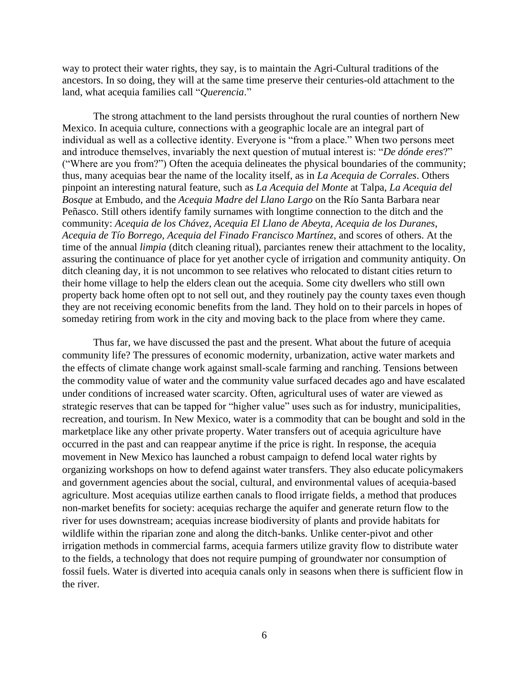way to protect their water rights, they say, is to maintain the Agri-Cultural traditions of the ancestors. In so doing, they will at the same time preserve their centuries-old attachment to the land, what acequia families call "*Querencia*."

The strong attachment to the land persists throughout the rural counties of northern New Mexico. In acequia culture, connections with a geographic locale are an integral part of individual as well as a collective identity. Everyone is "from a place." When two persons meet and introduce themselves, invariably the next question of mutual interest is: "*De dónde eres*?" ("Where are you from?") Often the acequia delineates the physical boundaries of the community; thus, many acequias bear the name of the locality itself, as in *La Acequia de Corrales*. Others pinpoint an interesting natural feature, such as *La Acequia del Monte* at Talpa, *La Acequia del Bosque* at Embudo, and the *Acequia Madre del Llano Largo* on the Río Santa Barbara near Peñasco. Still others identify family surnames with longtime connection to the ditch and the community: *Acequia de los Chávez*, *Acequia El Llano de Abeyta*, *Acequia de los Duranes*, *Acequia de Tío Borrego*, *Acequia del Finado Francisco Martínez*, and scores of others. At the time of the annual *limpia* (ditch cleaning ritual), parciantes renew their attachment to the locality, assuring the continuance of place for yet another cycle of irrigation and community antiquity. On ditch cleaning day, it is not uncommon to see relatives who relocated to distant cities return to their home village to help the elders clean out the acequia. Some city dwellers who still own property back home often opt to not sell out, and they routinely pay the county taxes even though they are not receiving economic benefits from the land. They hold on to their parcels in hopes of someday retiring from work in the city and moving back to the place from where they came.

Thus far, we have discussed the past and the present. What about the future of acequia community life? The pressures of economic modernity, urbanization, active water markets and the effects of climate change work against small-scale farming and ranching. Tensions between the commodity value of water and the community value surfaced decades ago and have escalated under conditions of increased water scarcity. Often, agricultural uses of water are viewed as strategic reserves that can be tapped for "higher value" uses such as for industry, municipalities, recreation, and tourism. In New Mexico, water is a commodity that can be bought and sold in the marketplace like any other private property. Water transfers out of acequia agriculture have occurred in the past and can reappear anytime if the price is right. In response, the acequia movement in New Mexico has launched a robust campaign to defend local water rights by organizing workshops on how to defend against water transfers. They also educate policymakers and government agencies about the social, cultural, and environmental values of acequia-based agriculture. Most acequias utilize earthen canals to flood irrigate fields, a method that produces non-market benefits for society: acequias recharge the aquifer and generate return flow to the river for uses downstream; acequias increase biodiversity of plants and provide habitats for wildlife within the riparian zone and along the ditch-banks. Unlike center-pivot and other irrigation methods in commercial farms, acequia farmers utilize gravity flow to distribute water to the fields, a technology that does not require pumping of groundwater nor consumption of fossil fuels. Water is diverted into acequia canals only in seasons when there is sufficient flow in the river.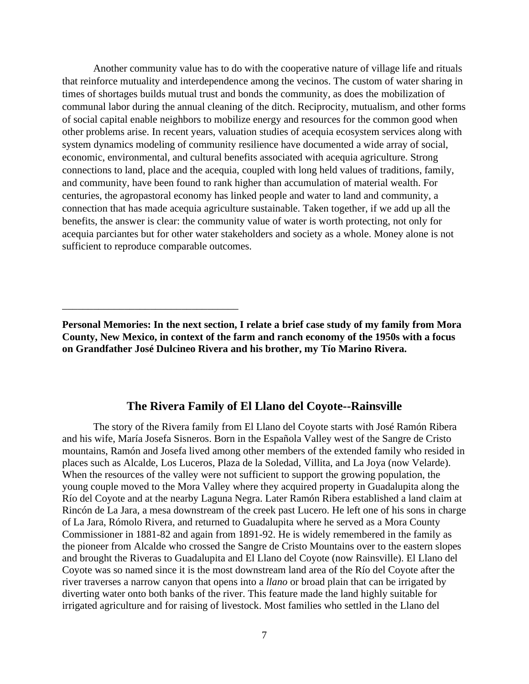Another community value has to do with the cooperative nature of village life and rituals that reinforce mutuality and interdependence among the vecinos. The custom of water sharing in times of shortages builds mutual trust and bonds the community, as does the mobilization of communal labor during the annual cleaning of the ditch. Reciprocity, mutualism, and other forms of social capital enable neighbors to mobilize energy and resources for the common good when other problems arise. In recent years, valuation studies of acequia ecosystem services along with system dynamics modeling of community resilience have documented a wide array of social, economic, environmental, and cultural benefits associated with acequia agriculture. Strong connections to land, place and the acequia, coupled with long held values of traditions, family, and community, have been found to rank higher than accumulation of material wealth. For centuries, the agropastoral economy has linked people and water to land and community, a connection that has made acequia agriculture sustainable. Taken together, if we add up all the benefits, the answer is clear: the community value of water is worth protecting, not only for acequia parciantes but for other water stakeholders and society as a whole. Money alone is not sufficient to reproduce comparable outcomes.

\_\_\_\_\_\_\_\_\_\_\_\_\_\_\_\_\_\_\_\_\_\_\_\_\_\_\_\_\_\_\_\_\_\_

# **The Rivera Family of El Llano del Coyote--Rainsville**

The story of the Rivera family from El Llano del Coyote starts with José Ramón Ribera and his wife, María Josefa Sisneros. Born in the Española Valley west of the Sangre de Cristo mountains, Ramón and Josefa lived among other members of the extended family who resided in places such as Alcalde, Los Luceros, Plaza de la Soledad, Villita, and La Joya (now Velarde). When the resources of the valley were not sufficient to support the growing population, the young couple moved to the Mora Valley where they acquired property in Guadalupita along the Río del Coyote and at the nearby Laguna Negra. Later Ramón Ribera established a land claim at Rincón de La Jara, a mesa downstream of the creek past Lucero. He left one of his sons in charge of La Jara, Rómolo Rivera, and returned to Guadalupita where he served as a Mora County Commissioner in 1881-82 and again from 1891-92. He is widely remembered in the family as the pioneer from Alcalde who crossed the Sangre de Cristo Mountains over to the eastern slopes and brought the Riveras to Guadalupita and El Llano del Coyote (now Rainsville). El Llano del Coyote was so named since it is the most downstream land area of the Río del Coyote after the river traverses a narrow canyon that opens into a *llano* or broad plain that can be irrigated by diverting water onto both banks of the river. This feature made the land highly suitable for irrigated agriculture and for raising of livestock. Most families who settled in the Llano del

**Personal Memories: In the next section, I relate a brief case study of my family from Mora County, New Mexico, in context of the farm and ranch economy of the 1950s with a focus on Grandfather José Dulcineo Rivera and his brother, my Tío Marino Rivera.**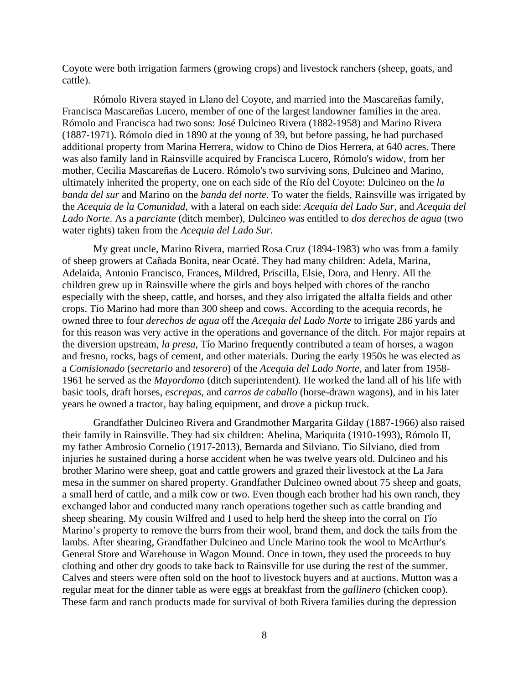Coyote were both irrigation farmers (growing crops) and livestock ranchers (sheep, goats, and cattle).

Rómolo Rivera stayed in Llano del Coyote, and married into the Mascareñas family, Francisca Mascareñas Lucero, member of one of the largest landowner families in the area. Rómolo and Francisca had two sons: José Dulcineo Rivera (1882-1958) and Marino Rivera (1887-1971). Rómolo died in 1890 at the young of 39, but before passing, he had purchased additional property from Marina Herrera, widow to Chino de Dios Herrera, at 640 acres. There was also family land in Rainsville acquired by Francisca Lucero, Rómolo's widow, from her mother, Cecilia Mascareñas de Lucero. Rómolo's two surviving sons, Dulcineo and Marino, ultimately inherited the property, one on each side of the Río del Coyote: Dulcineo on the *la banda del sur* and Marino on the *banda del norte*. To water the fields, Rainsville was irrigated by the *Acequia de la Comunidad*, with a lateral on each side: *Acequia del Lado Sur*, and *Acequia del Lado Norte*. As a *parciante* (ditch member), Dulcineo was entitled to *dos derechos de agua* (two water rights) taken from the *Acequia del Lado Sur.* 

My great uncle, Marino Rivera, married Rosa Cruz (1894-1983) who was from a family of sheep growers at Cañada Bonita, near Ocaté. They had many children: Adela, Marina, Adelaida, Antonio Francisco, Frances, Mildred, Priscilla, Elsie, Dora, and Henry. All the children grew up in Rainsville where the girls and boys helped with chores of the rancho especially with the sheep, cattle, and horses, and they also irrigated the alfalfa fields and other crops. Tío Marino had more than 300 sheep and cows. According to the acequia records, he owned three to four *derechos de agua* off the *Acequia del Lado Norte* to irrigate 286 yards and for this reason was very active in the operations and governance of the ditch. For major repairs at the diversion upstream, *la presa*, Tío Marino frequently contributed a team of horses, a wagon and fresno, rocks, bags of cement, and other materials. During the early 1950s he was elected as a *Comisionado* (*secretario* and *tesorero*) of the *Acequia del Lado Norte*, and later from 1958- 1961 he served as the *Mayordomo* (ditch superintendent). He worked the land all of his life with basic tools, draft horses, *escrepas*, and *carros de caballo* (horse-drawn wagons), and in his later years he owned a tractor, hay baling equipment, and drove a pickup truck.

Grandfather Dulcineo Rivera and Grandmother Margarita Gilday (1887-1966) also raised their family in Rainsville. They had six children: Abelina, Mariquita (1910-1993), Rómolo II, my father Ambrosio Cornelio (1917-2013), Bernarda and Silviano. Tío Silviano, died from injuries he sustained during a horse accident when he was twelve years old. Dulcineo and his brother Marino were sheep, goat and cattle growers and grazed their livestock at the La Jara mesa in the summer on shared property. Grandfather Dulcineo owned about 75 sheep and goats, a small herd of cattle, and a milk cow or two. Even though each brother had his own ranch, they exchanged labor and conducted many ranch operations together such as cattle branding and sheep shearing. My cousin Wilfred and I used to help herd the sheep into the corral on Tío Marino's property to remove the burrs from their wool, brand them, and dock the tails from the lambs. After shearing, Grandfather Dulcineo and Uncle Marino took the wool to McArthur's General Store and Warehouse in Wagon Mound. Once in town, they used the proceeds to buy clothing and other dry goods to take back to Rainsville for use during the rest of the summer. Calves and steers were often sold on the hoof to livestock buyers and at auctions. Mutton was a regular meat for the dinner table as were eggs at breakfast from the *gallinero* (chicken coop). These farm and ranch products made for survival of both Rivera families during the depression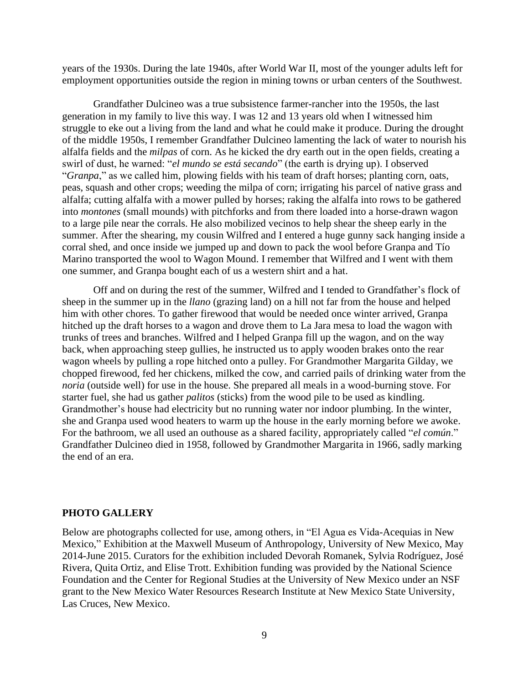years of the 1930s. During the late 1940s, after World War II, most of the younger adults left for employment opportunities outside the region in mining towns or urban centers of the Southwest.

Grandfather Dulcineo was a true subsistence farmer-rancher into the 1950s, the last generation in my family to live this way. I was 12 and 13 years old when I witnessed him struggle to eke out a living from the land and what he could make it produce. During the drought of the middle 1950s, I remember Grandfather Dulcineo lamenting the lack of water to nourish his alfalfa fields and the *milpas* of corn. As he kicked the dry earth out in the open fields, creating a swirl of dust, he warned: "*el mundo se está secando*" (the earth is drying up). I observed "*Granpa*," as we called him, plowing fields with his team of draft horses; planting corn, oats, peas, squash and other crops; weeding the milpa of corn; irrigating his parcel of native grass and alfalfa; cutting alfalfa with a mower pulled by horses; raking the alfalfa into rows to be gathered into *montones* (small mounds) with pitchforks and from there loaded into a horse-drawn wagon to a large pile near the corrals. He also mobilized vecinos to help shear the sheep early in the summer. After the shearing, my cousin Wilfred and I entered a huge gunny sack hanging inside a corral shed, and once inside we jumped up and down to pack the wool before Granpa and Tío Marino transported the wool to Wagon Mound. I remember that Wilfred and I went with them one summer, and Granpa bought each of us a western shirt and a hat.

Off and on during the rest of the summer, Wilfred and I tended to Grandfather's flock of sheep in the summer up in the *llano* (grazing land) on a hill not far from the house and helped him with other chores. To gather firewood that would be needed once winter arrived, Granpa hitched up the draft horses to a wagon and drove them to La Jara mesa to load the wagon with trunks of trees and branches. Wilfred and I helped Granpa fill up the wagon, and on the way back, when approaching steep gullies, he instructed us to apply wooden brakes onto the rear wagon wheels by pulling a rope hitched onto a pulley. For Grandmother Margarita Gilday, we chopped firewood, fed her chickens, milked the cow, and carried pails of drinking water from the *noria* (outside well) for use in the house. She prepared all meals in a wood-burning stove. For starter fuel, she had us gather *palitos* (sticks) from the wood pile to be used as kindling. Grandmother's house had electricity but no running water nor indoor plumbing. In the winter, she and Granpa used wood heaters to warm up the house in the early morning before we awoke. For the bathroom, we all used an outhouse as a shared facility, appropriately called "*el común*." Grandfather Dulcineo died in 1958, followed by Grandmother Margarita in 1966, sadly marking the end of an era.

#### **PHOTO GALLERY**

Below are photographs collected for use, among others, in "El Agua es Vida-Acequias in New Mexico," Exhibition at the Maxwell Museum of Anthropology, University of New Mexico, May 2014-June 2015. Curators for the exhibition included Devorah Romanek, Sylvia Rodríguez, José Rivera, Quita Ortiz, and Elise Trott. Exhibition funding was provided by the National Science Foundation and the Center for Regional Studies at the University of New Mexico under an NSF grant to the New Mexico Water Resources Research Institute at New Mexico State University, Las Cruces, New Mexico.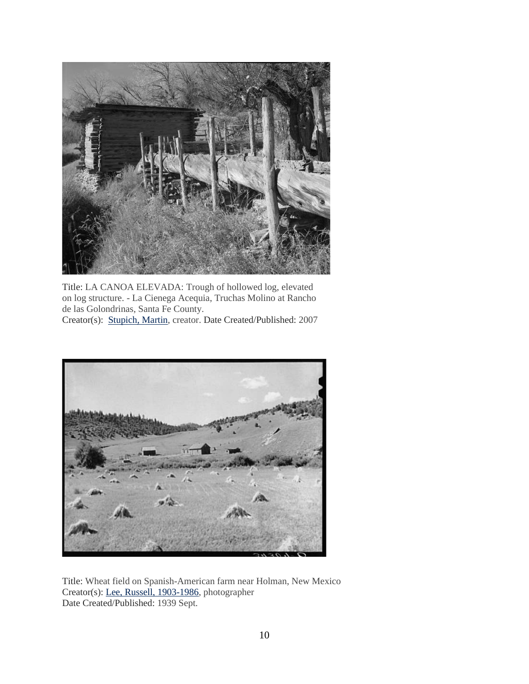

Title: LA CANOA ELEVADA: Trough of hollowed log, elevated on log structure. - La Cienega Acequia, Truchas Molino at Rancho de las Golondrinas, Santa Fe County. Creator(s): [Stupich, Martin,](http://www.loc.gov/pictures/related/?fi=name&q=Stupich%2C%20Martin) creator. Date Created/Published: 2007



Title: Wheat field on Spanish-American farm near Holman, New Mexico Creator(s): [Lee, Russell, 1903-1986,](http://www.loc.gov/pictures/related/?fi=name&q=Lee%2C%20Russell%2C%201903-1986) photographer Date Created/Published: 1939 Sept.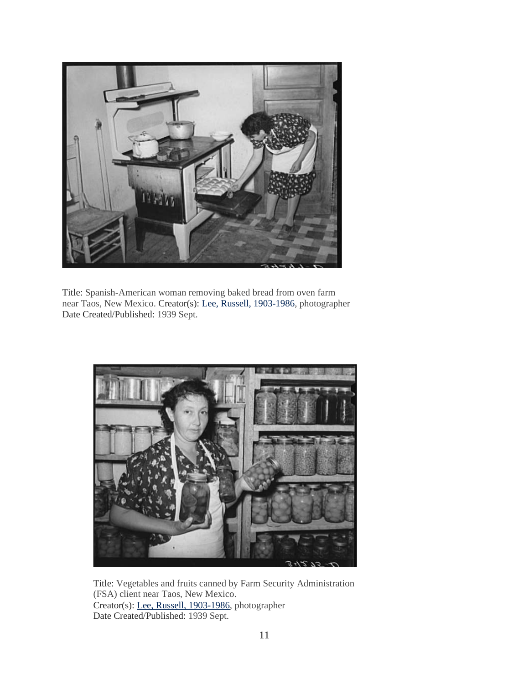

Title: Spanish-American woman removing baked bread from oven farm near Taos, New Mexico. Creator(s): [Lee, Russell, 1903-1986,](http://www.loc.gov/pictures/related/?fi=name&q=Lee%2C%20Russell%2C%201903-1986) photographer Date Created/Published: 1939 Sept.



Title: Vegetables and fruits canned by Farm Security Administration (FSA) client near Taos, New Mexico. Creator(s): [Lee, Russell, 1903-1986,](http://www.loc.gov/pictures/related/?fi=name&q=Lee%2C%20Russell%2C%201903-1986) photographer Date Created/Published: 1939 Sept.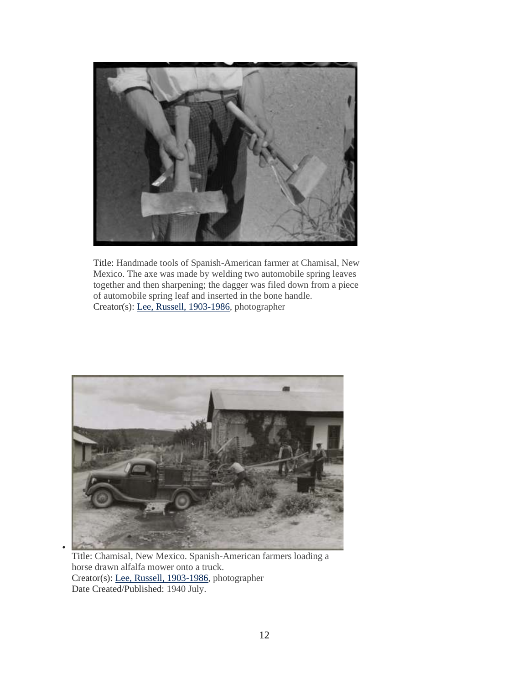

Title: Handmade tools of Spanish-American farmer at Chamisal, New Mexico. The axe was made by welding two automobile spring leaves together and then sharpening; the dagger was filed down from a piece of automobile spring leaf and inserted in the bone handle. Creator(s): [Lee, Russell, 1903-1986,](http://www.loc.gov/pictures/related/?fi=name&q=Lee%2C%20Russell%2C%201903-1986) photographer



Title: Chamisal, New Mexico. Spanish-American farmers loading a horse drawn alfalfa mower onto a truck. Creator(s): [Lee, Russell, 1903-1986,](http://www.loc.gov/pictures/related/?fi=name&q=Lee%2C%20Russell%2C%201903-1986) photographer Date Created/Published: 1940 July.

•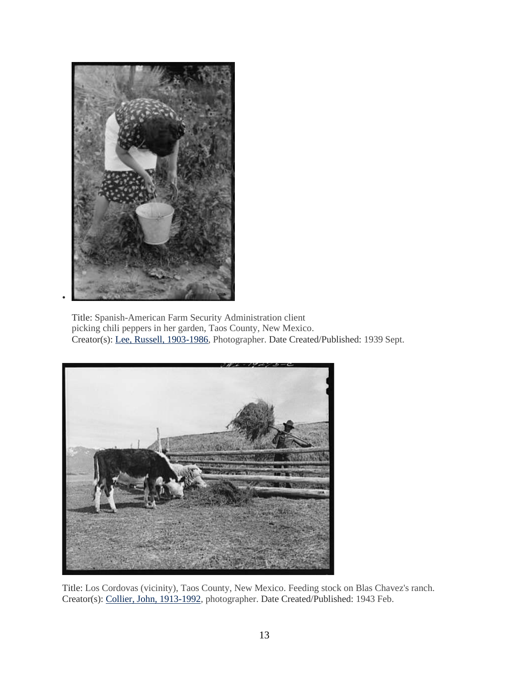

Title: Spanish-American Farm Security Administration client picking chili peppers in her garden, Taos County, New Mexico. Creator(s): [Lee, Russell, 1903-1986,](http://www.loc.gov/pictures/related/?fi=name&q=Lee%2C%20Russell%2C%201903-1986) Photographer. Date Created/Published: 1939 Sept.



Title: Los Cordovas (vicinity), Taos County, New Mexico. Feeding stock on Blas Chavez's ranch. Creator(s): [Collier, John, 1913-1992,](http://www.loc.gov/pictures/related/?fi=name&q=Collier%2C%20John%2C%201913-1992) photographer. Date Created/Published: 1943 Feb.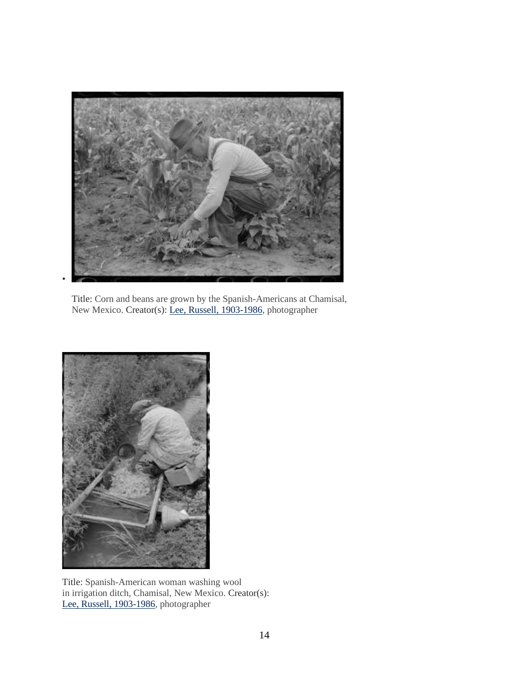

Title: Corn and beans are grown by the Spanish-Americans at Chamisal, New Mexico. Creator(s): [Lee, Russell, 1903-1986,](http://www.loc.gov/pictures/related/?fi=name&q=Lee%2C%20Russell%2C%201903-1986) photographer



Title: Spanish-American woman washing wool in irrigation ditch, Chamisal, New Mexico. Creator(s): [Lee, Russell, 1903-1986,](http://www.loc.gov/pictures/related/?fi=name&q=Lee%2C%20Russell%2C%201903-1986) photographer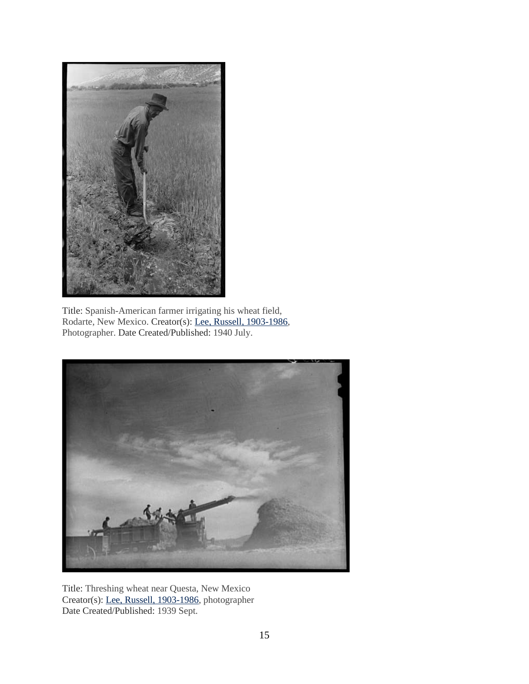

Title: Spanish-American farmer irrigating his wheat field, Rodarte, New Mexico. Creator(s): [Lee, Russell, 1903-1986,](http://www.loc.gov/pictures/related/?fi=name&q=Lee%2C%20Russell%2C%201903-1986) Photographer. Date Created/Published: 1940 July.



Title: Threshing wheat near Questa, New Mexico Creator(s): [Lee, Russell, 1903-1986,](http://www.loc.gov/pictures/related/?fi=name&q=Lee%2C%20Russell%2C%201903-1986) photographer Date Created/Published: 1939 Sept.